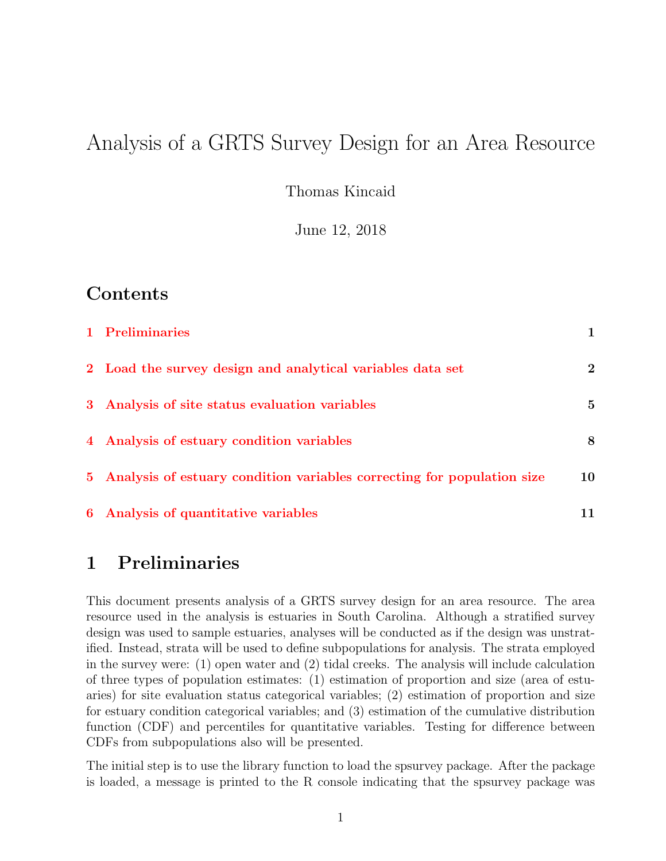# Analysis of a GRTS Survey Design for an Area Resource

Thomas Kincaid

June 12, 2018

### Contents

| 1 Preliminaries                                                          |                |
|--------------------------------------------------------------------------|----------------|
| 2 Load the survey design and analytical variables data set               | $\overline{2}$ |
| 3 Analysis of site status evaluation variables                           | $\overline{5}$ |
| 4 Analysis of estuary condition variables                                | 8              |
| 5 Analysis of estuary condition variables correcting for population size | 10             |
| 6 Analysis of quantitative variables                                     |                |

## <span id="page-0-0"></span>1 Preliminaries

This document presents analysis of a GRTS survey design for an area resource. The area resource used in the analysis is estuaries in South Carolina. Although a stratified survey design was used to sample estuaries, analyses will be conducted as if the design was unstratified. Instead, strata will be used to define subpopulations for analysis. The strata employed in the survey were:  $(1)$  open water and  $(2)$  tidal creeks. The analysis will include calculation of three types of population estimates: (1) estimation of proportion and size (area of estuaries) for site evaluation status categorical variables; (2) estimation of proportion and size for estuary condition categorical variables; and (3) estimation of the cumulative distribution function (CDF) and percentiles for quantitative variables. Testing for difference between CDFs from subpopulations also will be presented.

The initial step is to use the library function to load the spsurvey package. After the package is loaded, a message is printed to the R console indicating that the spsurvey package was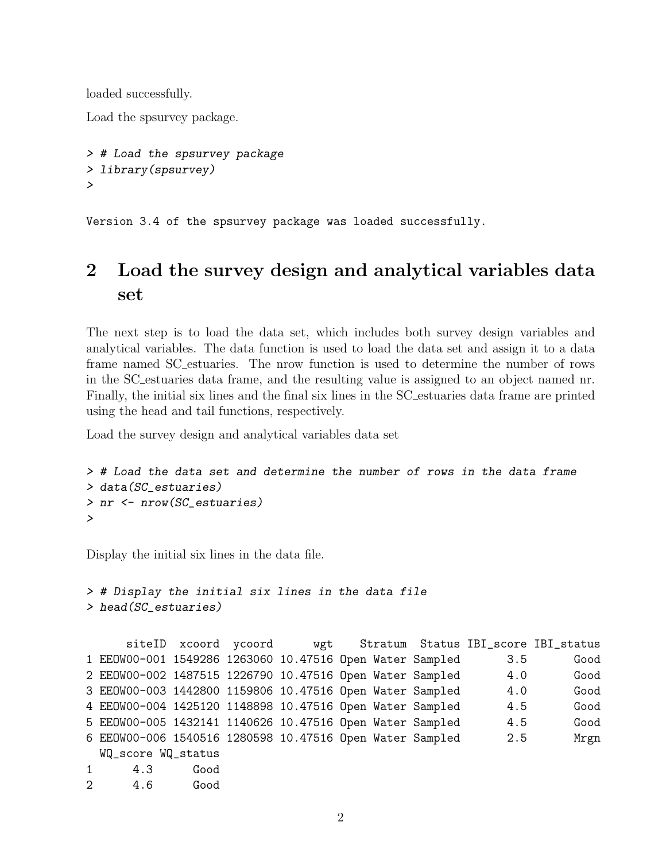loaded successfully.

Load the spsurvey package.

```
> # Load the spsurvey package
> library(spsurvey)
>
```
Version 3.4 of the spsurvey package was loaded successfully.

# <span id="page-1-0"></span>2 Load the survey design and analytical variables data set

The next step is to load the data set, which includes both survey design variables and analytical variables. The data function is used to load the data set and assign it to a data frame named SC estuaries. The nrow function is used to determine the number of rows in the SC estuaries data frame, and the resulting value is assigned to an object named nr. Finally, the initial six lines and the final six lines in the SC estuaries data frame are printed using the head and tail functions, respectively.

Load the survey design and analytical variables data set

```
> # Load the data set and determine the number of rows in the data frame
> data(SC_estuaries)
> nr <- nrow(SC_estuaries)
>
```
Display the initial six lines in the data file.

```
> # Display the initial six lines in the data file
> head(SC_estuaries)
```

```
siteID xcoord ycoord wgt Stratum Status IBI_score IBI_status
1 EEOW00-001 1549286 1263060 10.47516 Open Water Sampled 3.5 Good
2 EEOW00-002 1487515 1226790 10.47516 Open Water Sampled 4.0 Good
3 EEOW00-003 1442800 1159806 10.47516 Open Water Sampled 4.0 Good
4 EEOW00-004 1425120 1148898 10.47516 Open Water Sampled 4.5 Good
5 EEOW00-005 1432141 1140626 10.47516 Open Water Sampled 4.5 Good
6 EEOW00-006 1540516 1280598 10.47516 Open Water Sampled 2.5 Mrgn
 WQ_score WQ_status
1 4.3 Good
2 4.6 Good
```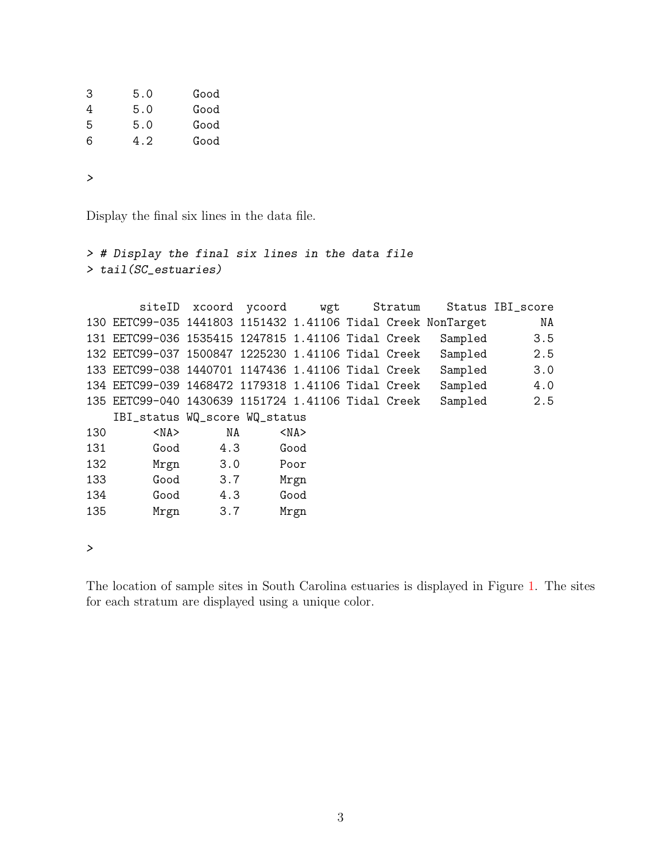| 3 | 5.0 | Good |
|---|-----|------|
| 4 | 5.0 | Good |
| 5 | 5.0 | Good |
| 6 | 4.2 | Good |
|   |     |      |

*>*

Display the final six lines in the data file.

```
> # Display the final six lines in the data file
> tail(SC_estuaries)
      siteID xcoord ycoord wgt Stratum Status IBI_score
130 EETC99-035 1441803 1151432 1.41106 Tidal Creek NonTarget NA
131 EETC99-036 1535415 1247815 1.41106 Tidal Creek Sampled 3.5
132 EETC99-037 1500847 1225230 1.41106 Tidal Creek Sampled 2.5
133 EETC99-038 1440701 1147436 1.41106 Tidal Creek Sampled 3.0
134 EETC99-039 1468472 1179318 1.41106 Tidal Creek Sampled 4.0
135 EETC99-040 1430639 1151724 1.41106 Tidal Creek Sampled 2.5
   IBI_status WQ_score WQ_status
130 <NA> NA <NA>
131 Good 4.3 Good
132 Mrgn 3.0 Poor
133 Good 3.7 Mrgn
134 Good 4.3 Good
135 Mrgn 3.7 Mrgn
```
*>*

The location of sample sites in South Carolina estuaries is displayed in Figure [1.](#page-3-0) The sites for each stratum are displayed using a unique color.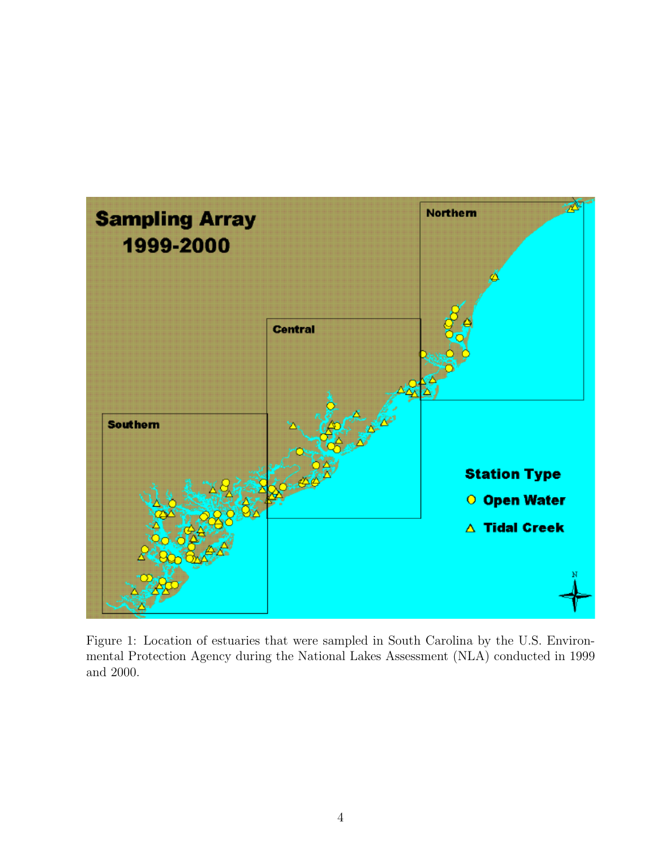

<span id="page-3-0"></span>Figure 1: Location of estuaries that were sampled in South Carolina by the U.S. Environmental Protection Agency during the National Lakes Assessment (NLA) conducted in 1999 and 2000.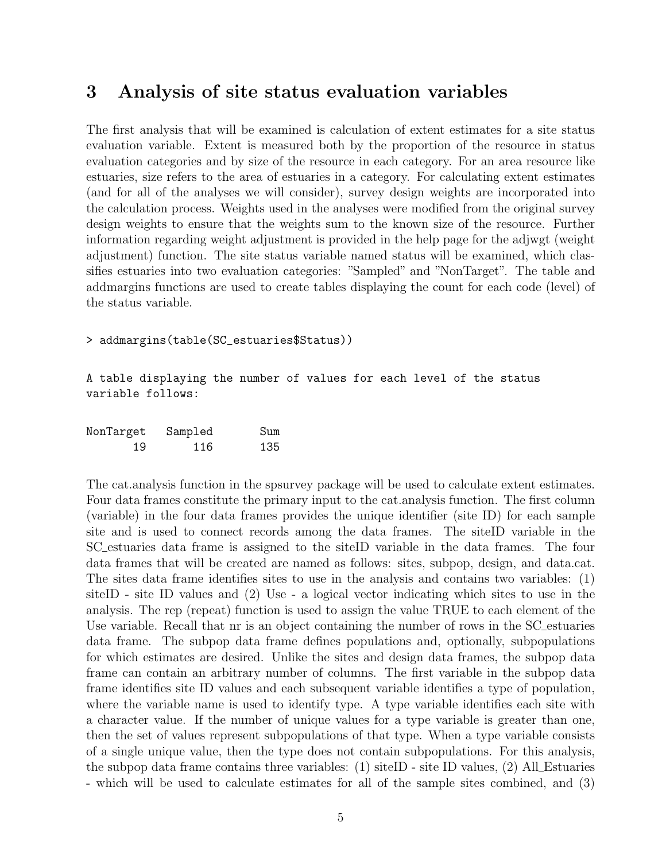### <span id="page-4-0"></span>3 Analysis of site status evaluation variables

The first analysis that will be examined is calculation of extent estimates for a site status evaluation variable. Extent is measured both by the proportion of the resource in status evaluation categories and by size of the resource in each category. For an area resource like estuaries, size refers to the area of estuaries in a category. For calculating extent estimates (and for all of the analyses we will consider), survey design weights are incorporated into the calculation process. Weights used in the analyses were modified from the original survey design weights to ensure that the weights sum to the known size of the resource. Further information regarding weight adjustment is provided in the help page for the adjwgt (weight adjustment) function. The site status variable named status will be examined, which classifies estuaries into two evaluation categories: "Sampled" and "NonTarget". The table and addmargins functions are used to create tables displaying the count for each code (level) of the status variable.

> addmargins(table(SC\_estuaries\$Status))

A table displaying the number of values for each level of the status variable follows:

| NonTarget | Sampled | Sum |
|-----------|---------|-----|
| 19        | 116     | 135 |

The cat.analysis function in the spsurvey package will be used to calculate extent estimates. Four data frames constitute the primary input to the cat.analysis function. The first column (variable) in the four data frames provides the unique identifier (site ID) for each sample site and is used to connect records among the data frames. The siteID variable in the SC estuaries data frame is assigned to the siteID variable in the data frames. The four data frames that will be created are named as follows: sites, subpop, design, and data.cat. The sites data frame identifies sites to use in the analysis and contains two variables: (1) siteID - site ID values and (2) Use - a logical vector indicating which sites to use in the analysis. The rep (repeat) function is used to assign the value TRUE to each element of the Use variable. Recall that nr is an object containing the number of rows in the SC estuaries data frame. The subpop data frame defines populations and, optionally, subpopulations for which estimates are desired. Unlike the sites and design data frames, the subpop data frame can contain an arbitrary number of columns. The first variable in the subpop data frame identifies site ID values and each subsequent variable identifies a type of population, where the variable name is used to identify type. A type variable identifies each site with a character value. If the number of unique values for a type variable is greater than one, then the set of values represent subpopulations of that type. When a type variable consists of a single unique value, then the type does not contain subpopulations. For this analysis, the subpop data frame contains three variables:  $(1)$  siteID - site ID values,  $(2)$  All Estuaries - which will be used to calculate estimates for all of the sample sites combined, and (3)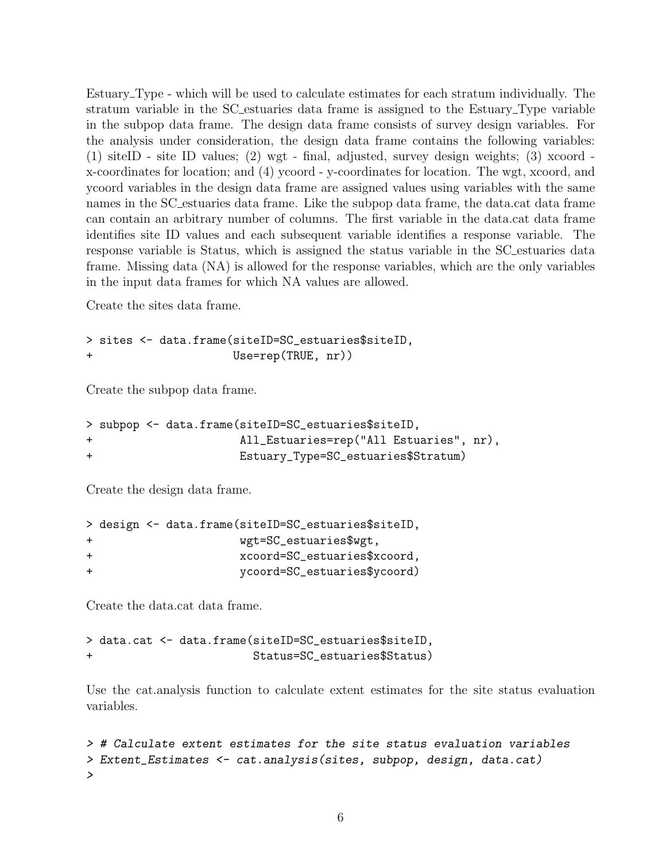Estuary Type - which will be used to calculate estimates for each stratum individually. The stratum variable in the SC estuaries data frame is assigned to the Estuary Type variable in the subpop data frame. The design data frame consists of survey design variables. For the analysis under consideration, the design data frame contains the following variables: (1) siteID - site ID values; (2) wgt - final, adjusted, survey design weights; (3) xcoord x-coordinates for location; and (4) ycoord - y-coordinates for location. The wgt, xcoord, and ycoord variables in the design data frame are assigned values using variables with the same names in the SC estuaries data frame. Like the subpop data frame, the data.cat data frame can contain an arbitrary number of columns. The first variable in the data.cat data frame identifies site ID values and each subsequent variable identifies a response variable. The response variable is Status, which is assigned the status variable in the SC estuaries data frame. Missing data (NA) is allowed for the response variables, which are the only variables in the input data frames for which NA values are allowed.

Create the sites data frame.

```
> sites <- data.frame(siteID=SC_estuaries$siteID,
                      Use=rep(TRUE, nr))
```
Create the subpop data frame.

```
> subpop <- data.frame(siteID=SC_estuaries$siteID,
+ All_Estuaries=rep("All Estuaries", nr),
+ Estuary_Type=SC_estuaries$Stratum)
```
Create the design data frame.

```
> design <- data.frame(siteID=SC_estuaries$siteID,
+ wgt=SC_estuaries$wgt,
+ xcoord=SC_estuaries$xcoord,
+ ycoord=SC_estuaries$ycoord)
```
Create the data.cat data frame.

> data.cat <- data.frame(siteID=SC\_estuaries\$siteID, + Status=SC\_estuaries\$Status)

Use the cat.analysis function to calculate extent estimates for the site status evaluation variables.

```
> # Calculate extent estimates for the site status evaluation variables
> Extent_Estimates <- cat.analysis(sites, subpop, design, data.cat)
>
```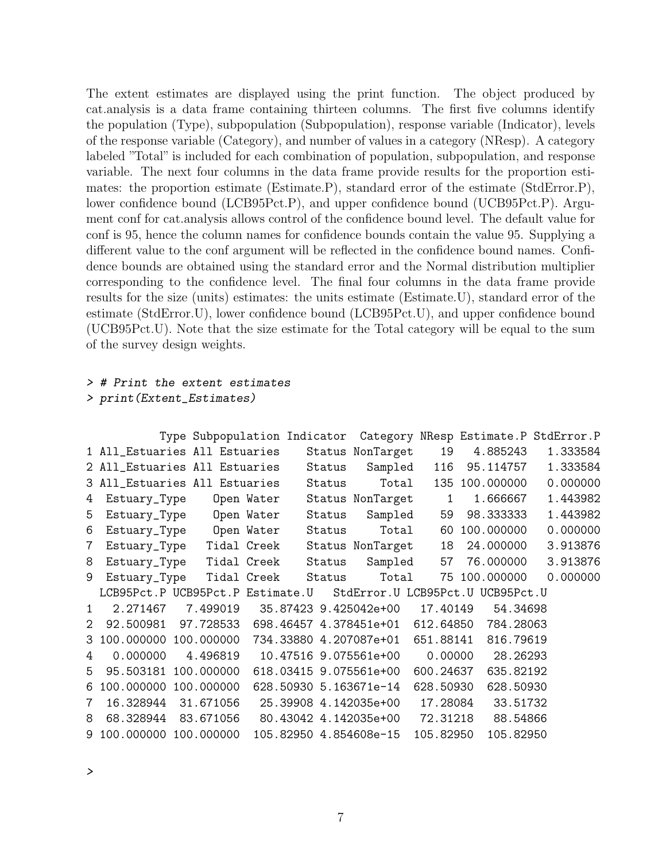The extent estimates are displayed using the print function. The object produced by cat.analysis is a data frame containing thirteen columns. The first five columns identify the population (Type), subpopulation (Subpopulation), response variable (Indicator), levels of the response variable (Category), and number of values in a category (NResp). A category labeled "Total" is included for each combination of population, subpopulation, and response variable. The next four columns in the data frame provide results for the proportion estimates: the proportion estimate (Estimate.P), standard error of the estimate (StdError.P), lower confidence bound (LCB95Pct.P), and upper confidence bound (UCB95Pct.P). Argument conf for cat.analysis allows control of the confidence bound level. The default value for conf is 95, hence the column names for confidence bounds contain the value 95. Supplying a different value to the conf argument will be reflected in the confidence bound names. Confidence bounds are obtained using the standard error and the Normal distribution multiplier corresponding to the confidence level. The final four columns in the data frame provide results for the size (units) estimates: the units estimate (Estimate.U), standard error of the estimate (StdError.U), lower confidence bound (LCB95Pct.U), and upper confidence bound (UCB95Pct.U). Note that the size estimate for the Total category will be equal to the sum of the survey design weights.

#### *> # Print the extent estimates*

```
> print(Extent_Estimates)
```

|              |                                  | Type Subpopulation Indicator |             |        | Category NResp Estimate.P StdError.P |              |                |          |
|--------------|----------------------------------|------------------------------|-------------|--------|--------------------------------------|--------------|----------------|----------|
|              | 1 All_Estuaries All Estuaries    |                              |             |        | Status NonTarget                     | 19           | 4.885243       | 1.333584 |
|              | 2 All_Estuaries All Estuaries    |                              |             | Status | Sampled                              | 116          | 95.114757      | 1.333584 |
|              | 3 All_Estuaries All Estuaries    |                              |             | Status | Total                                |              | 135 100.000000 | 0.000000 |
| 4            | Estuary_Type Open Water          |                              |             |        | Status NonTarget                     | $\mathbf{1}$ | 1.666667       | 1.443982 |
| 5            | Estuary_Type Open Water          |                              |             | Status | Sampled                              | 59           | 98.333333      | 1.443982 |
| 6            | Estuary_Type Open Water          |                              |             | Status | Total                                | 60           | 100.000000     | 0.000000 |
| 7            | Estuary_Type                     | Tidal Creek                  |             |        | Status NonTarget                     | 18           | 24.000000      | 3.913876 |
| 8            | Estuary_Type                     | Tidal Creek                  |             | Status | Sampled                              | 57           | 76.000000      | 3.913876 |
| 9            | Estuary_Type                     |                              | Tidal Creek | Status | Total                                | 75           | 100.000000     | 0.000000 |
|              | LCB95Pct.P UCB95Pct.P Estimate.U |                              |             |        | StdError. U LCB95Pct. U UCB95Pct. U  |              |                |          |
| $\mathbf{1}$ | 2.271467                         | 7.499019                     |             |        | 35.87423 9.425042e+00                | 17.40149     | 54.34698       |          |
| 2            | 92.500981                        | 97.728533                    |             |        | 698.46457 4.378451e+01 612.64850     |              | 784.28063      |          |
| 3            | 100.000000                       | 100.000000                   |             |        | 734.33880  4.207087e+01              | 651.88141    | 816.79619      |          |
| 4            | 0.000000                         | 4.496819                     |             |        | 10.47516 9.075561e+00                | 0.00000      | 28.26293       |          |
| 5            | 95.503181                        | 100.000000                   |             |        | 618.03415 9.075561e+00               | 600.24637    | 635.82192      |          |
| 6            | 100.000000                       | 100.000000                   |             |        | 628.50930 5.163671e-14               | 628.50930    | 628.50930      |          |
| 7            | 16.328944                        | 31.671056                    |             |        | 25.39908 4.142035e+00                | 17.28084     | 33.51732       |          |
| 8            | 68.328944                        | 83.671056                    |             |        | 80.43042 4.142035e+00                | 72.31218     | 88.54866       |          |
|              | 9 100.000000 100.000000          |                              |             |        | 105.82950 4.854608e-15               | 105.82950    | 105.82950      |          |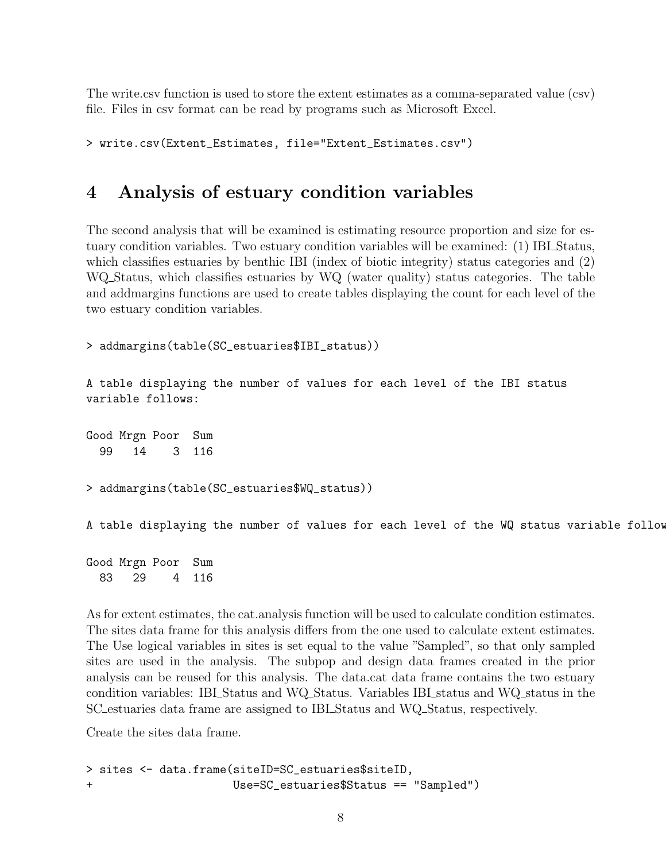The write.csv function is used to store the extent estimates as a comma-separated value (csv) file. Files in csv format can be read by programs such as Microsoft Excel.

```
> write.csv(Extent_Estimates, file="Extent_Estimates.csv")
```
## <span id="page-7-0"></span>4 Analysis of estuary condition variables

The second analysis that will be examined is estimating resource proportion and size for estuary condition variables. Two estuary condition variables will be examined: (1) IBI Status, which classifies estuaries by benthic IBI (index of biotic integrity) status categories and (2) WQ Status, which classifies estuaries by WQ (water quality) status categories. The table and addmargins functions are used to create tables displaying the count for each level of the two estuary condition variables.

```
> addmargins(table(SC_estuaries$IBI_status))
```
A table displaying the number of values for each level of the IBI status variable follows:

Good Mrgn Poor Sum 99 14 3 116 > addmargins(table(SC\_estuaries\$WQ\_status)) A table displaying the number of values for each level of the WQ status variable follow

Good Mrgn Poor Sum 83 29 4 116

As for extent estimates, the cat.analysis function will be used to calculate condition estimates. The sites data frame for this analysis differs from the one used to calculate extent estimates. The Use logical variables in sites is set equal to the value "Sampled", so that only sampled sites are used in the analysis. The subpop and design data frames created in the prior analysis can be reused for this analysis. The data.cat data frame contains the two estuary condition variables: IBI Status and WQ Status. Variables IBI status and WQ status in the SC estuaries data frame are assigned to IBI Status and WQ Status, respectively.

Create the sites data frame.

```
> sites <- data.frame(siteID=SC_estuaries$siteID,
+ Use=SC_estuaries$Status == "Sampled")
```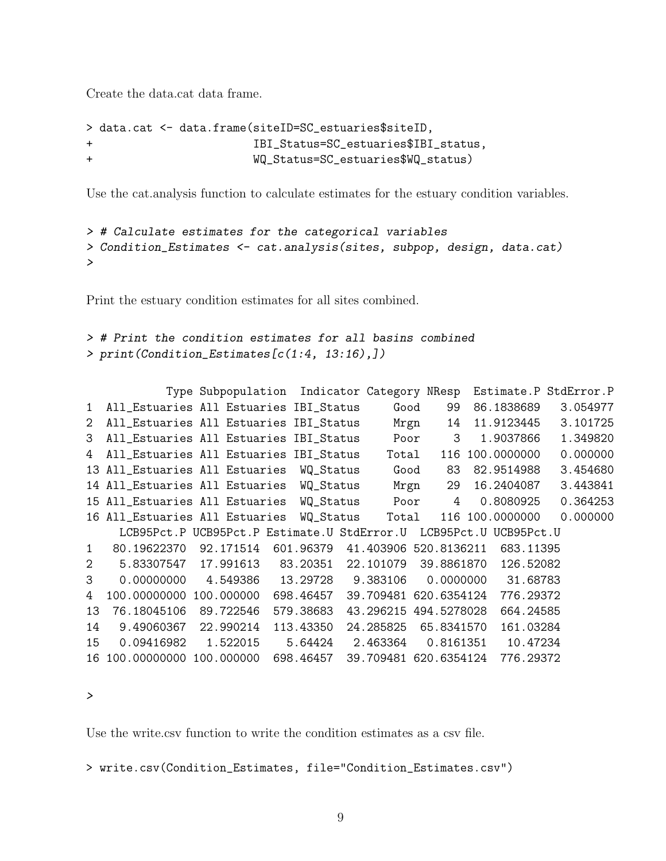Create the data.cat data frame.

```
> data.cat <- data.frame(siteID=SC_estuaries$siteID,
+ IBI_Status=SC_estuaries$IBI_status,
+ WQ_Status=SC_estuaries$WQ_status)
```
Use the cat.analysis function to calculate estimates for the estuary condition variables.

```
> # Calculate estimates for the categorical variables
> Condition_Estimates <- cat.analysis(sites, subpop, design, data.cat)
>
```
Print the estuary condition estimates for all sites combined.

```
> # Print the condition estimates for all basins combined
> print(Condition_Estimates[c(1:4, 13:16),])
```

|                |                                          | Type Subpopulation Indicator Category NResp |                                            |                       |             |                       | Estimate.P StdError.P |
|----------------|------------------------------------------|---------------------------------------------|--------------------------------------------|-----------------------|-------------|-----------------------|-----------------------|
| $\mathbf{1}$   | All_Estuaries All Estuaries IBI_Status   |                                             |                                            | Good                  | 99          | 86.1838689            | 3.054977              |
| $\overline{2}$ | All_Estuaries All Estuaries IBI_Status   |                                             |                                            | Mrgn                  | 14          | 11.9123445            | 3.101725              |
| 3              | All_Estuaries All Estuaries IBI_Status   |                                             |                                            | Poor                  | 3           | 1.9037866             | 1.349820              |
| 4              | All_Estuaries All Estuaries IBI_Status   |                                             |                                            | Total                 | 116         | 100.0000000           | 0.000000              |
|                | 13 All_Estuaries All Estuaries WQ_Status |                                             |                                            | Good                  | 83          | 82.9514988            | 3.454680              |
|                | 14 All_Estuaries All Estuaries WQ_Status |                                             |                                            | Mrgn                  | 29          | 16.2404087            | 3.443841              |
|                | 15 All_Estuaries All Estuaries           |                                             | WQ_Status                                  | Poor                  | 4           | 0.8080925             | 0.364253              |
|                | 16 All_Estuaries All Estuaries           |                                             | WQ_Status                                  | Total                 |             | 116 100.0000000       | 0.000000              |
|                |                                          | LCB95Pct.P UCB95Pct.P Estimate.U StdError.U |                                            |                       |             | LCB95Pct.U UCB95Pct.U |                       |
| $\mathbf{1}$   | 80.19622370                              | 92.171514                                   | 601.96379 41.403906 520.8136211            |                       |             | 683.11395             |                       |
| $\overline{2}$ | 5.83307547                               |                                             | 17.991613  83.20351  22.101079  39.8861870 |                       |             | 126.52082             |                       |
| 3              | 0.00000000                               | 4.549386                                    | 13.29728                                   | 9.383106              | 0.0000000   | 31.68783              |                       |
| 4              | 100.00000000                             | 100.000000                                  | 698.46457                                  | 39.709481 620.6354124 |             | 776.29372             |                       |
| 13             | 76.18045106                              | 89.722546                                   | 579.38683                                  | 43.296215             | 494.5278028 | 664.24585             |                       |
| 14             | 9.49060367                               | 22.990214                                   | 113.43350                                  | 24.285825             | 65.8341570  | 161.03284             |                       |
| 15             | 0.09416982                               | 1.522015                                    | 5.64424                                    | 2.463364              | 0.8161351   | 10.47234              |                       |
|                | 16 100.00000000 100.000000               |                                             | 698.46457                                  | 39.709481 620.6354124 |             | 776.29372             |                       |

```
>
```
Use the write.csv function to write the condition estimates as a csv file.

> write.csv(Condition\_Estimates, file="Condition\_Estimates.csv")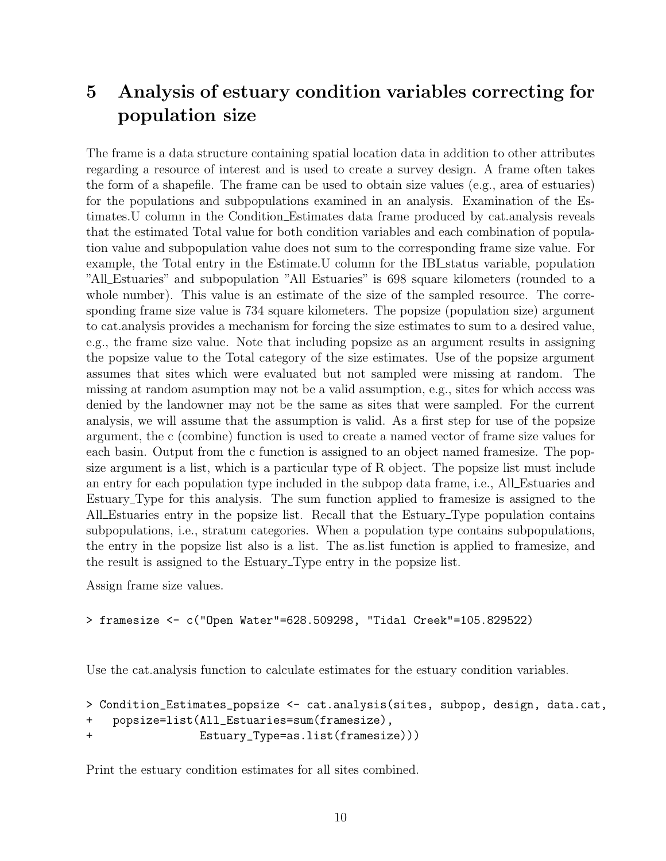## <span id="page-9-0"></span>5 Analysis of estuary condition variables correcting for population size

The frame is a data structure containing spatial location data in addition to other attributes regarding a resource of interest and is used to create a survey design. A frame often takes the form of a shapefile. The frame can be used to obtain size values (e.g., area of estuaries) for the populations and subpopulations examined in an analysis. Examination of the Estimates.U column in the Condition Estimates data frame produced by cat.analysis reveals that the estimated Total value for both condition variables and each combination of population value and subpopulation value does not sum to the corresponding frame size value. For example, the Total entry in the Estimate.U column for the IBI status variable, population "All Estuaries" and subpopulation "All Estuaries" is 698 square kilometers (rounded to a whole number). This value is an estimate of the size of the sampled resource. The corresponding frame size value is 734 square kilometers. The popsize (population size) argument to cat.analysis provides a mechanism for forcing the size estimates to sum to a desired value, e.g., the frame size value. Note that including popsize as an argument results in assigning the popsize value to the Total category of the size estimates. Use of the popsize argument assumes that sites which were evaluated but not sampled were missing at random. The missing at random asumption may not be a valid assumption, e.g., sites for which access was denied by the landowner may not be the same as sites that were sampled. For the current analysis, we will assume that the assumption is valid. As a first step for use of the popsize argument, the c (combine) function is used to create a named vector of frame size values for each basin. Output from the c function is assigned to an object named framesize. The popsize argument is a list, which is a particular type of R object. The popsize list must include an entry for each population type included in the subpop data frame, i.e., All Estuaries and Estuary Type for this analysis. The sum function applied to framesize is assigned to the All Estuaries entry in the popsize list. Recall that the Estuary Type population contains subpopulations, i.e., stratum categories. When a population type contains subpopulations, the entry in the popsize list also is a list. The as.list function is applied to framesize, and the result is assigned to the Estuary Type entry in the popsize list.

Assign frame size values.

> framesize <- c("Open Water"=628.509298, "Tidal Creek"=105.829522)

Use the cat.analysis function to calculate estimates for the estuary condition variables.

```
> Condition_Estimates_popsize <- cat.analysis(sites, subpop, design, data.cat,
+ popsize=list(All_Estuaries=sum(framesize),
+ Estuary_Type=as.list(framesize)))
```
Print the estuary condition estimates for all sites combined.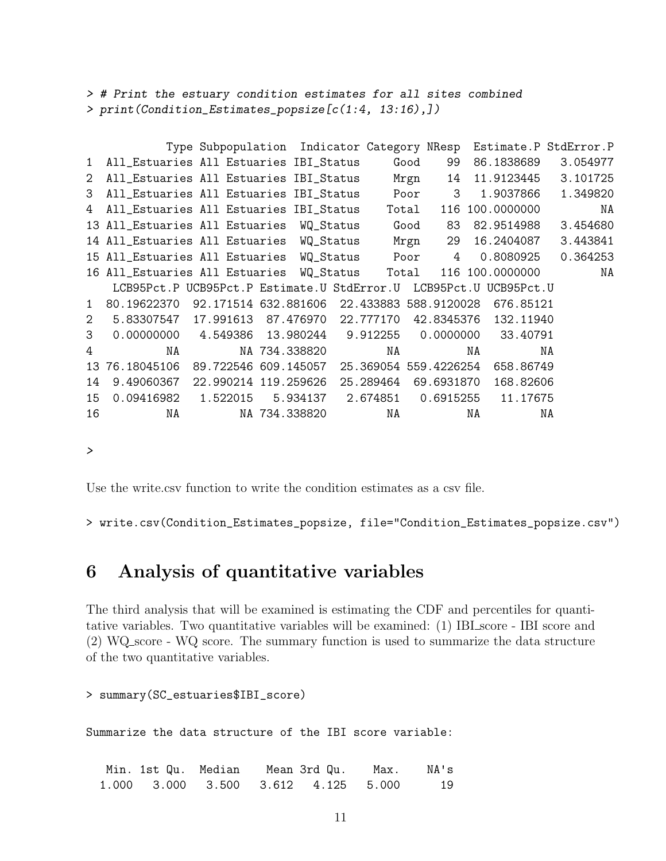*> # Print the estuary condition estimates for all sites combined > print(Condition\_Estimates\_popsize[c(1:4, 13:16),])*

|                |                                                                   | Type Subpopulation Indicator Category NResp Estimate.P StdError.P |               |                       |       |            |    |                    |          |          |
|----------------|-------------------------------------------------------------------|-------------------------------------------------------------------|---------------|-----------------------|-------|------------|----|--------------------|----------|----------|
| $\mathbf{1}$   | All_Estuaries All Estuaries IBI_Status                            |                                                                   |               |                       | Good  | 99         |    | 86.1838689         |          | 3.054977 |
| 2              | All_Estuaries All Estuaries IBI_Status                            |                                                                   |               |                       | Mrgn  | 14         |    | 11.9123445         |          | 3.101725 |
| 3              | All_Estuaries All Estuaries IBI_Status Poor                       |                                                                   |               |                       |       | 3          |    | 1.9037866          |          | 1.349820 |
| 4              | All_Estuaries All Estuaries IBI_Status                            |                                                                   |               |                       | Total |            |    | 116 100.0000000    |          | NA       |
|                | 13 All_Estuaries All Estuaries WQ_Status                          |                                                                   |               |                       | Good  | - 83       |    | 82.9514988         |          | 3.454680 |
|                | 14 All_Estuaries All Estuaries WQ_Status                          |                                                                   |               |                       |       |            |    | Mrgn 29 16.2404087 | 3.443841 |          |
|                | 15 All_Estuaries All Estuaries WQ_Status Poor                     |                                                                   |               |                       |       | 4          |    | 0.8080925          |          | 0.364253 |
|                | 16 All_Estuaries All Estuaries WQ_Status Total                    |                                                                   |               |                       |       |            |    | 116 100.0000000    |          | NA       |
|                | LCB95Pct.P UCB95Pct.P Estimate.U StdError.U LCB95Pct.U UCB95Pct.U |                                                                   |               |                       |       |            |    |                    |          |          |
| $\mathbf{1}$   | 80.19622370 92.171514 632.881606 22.433883 588.9120028 676.85121  |                                                                   |               |                       |       |            |    |                    |          |          |
| $\overline{2}$ | 5.83307547 17.991613 87.476970                                    |                                                                   |               | 22.777170             |       | 42.8345376 |    | 132.11940          |          |          |
| 3              | 0.00000000 4.549386 13.980244 9.912255                            |                                                                   |               |                       |       | 0.0000000  |    | 33.40791           |          |          |
| 4              | NA                                                                |                                                                   | NA 734.338820 | NA                    |       |            | NA |                    | NA       |          |
| 13             | 76.18045106                                                       | 89.722546 609.145057                                              |               | 25.369054 559.4226254 |       |            |    | 658.86749          |          |          |
| 14             | 9.49060367                                                        | 22.990214 119.259626                                              |               | 25.289464             |       | 69.6931870 |    | 168.82606          |          |          |
| 15             | 0.09416982 1.522015                                               |                                                                   | 5.934137      | 2.674851              |       | 0.6915255  |    | 11.17675           |          |          |
| 16             | NA                                                                |                                                                   | NA 734.338820 | NA                    |       |            | NA |                    | NA       |          |

*>*

Use the write.csv function to write the condition estimates as a csv file.

> write.csv(Condition\_Estimates\_popsize, file="Condition\_Estimates\_popsize.csv")

### <span id="page-10-0"></span>6 Analysis of quantitative variables

The third analysis that will be examined is estimating the CDF and percentiles for quantitative variables. Two quantitative variables will be examined: (1) IBI score - IBI score and (2) WQ score - WQ score. The summary function is used to summarize the data structure of the two quantitative variables.

> summary(SC\_estuaries\$IBI\_score)

Summarize the data structure of the IBI score variable:

.<br>Min. 1st Qu. Median Mean 3rd Qu. Max. NA's 1.000 3.000 3.500 3.612 4.125 5.000 19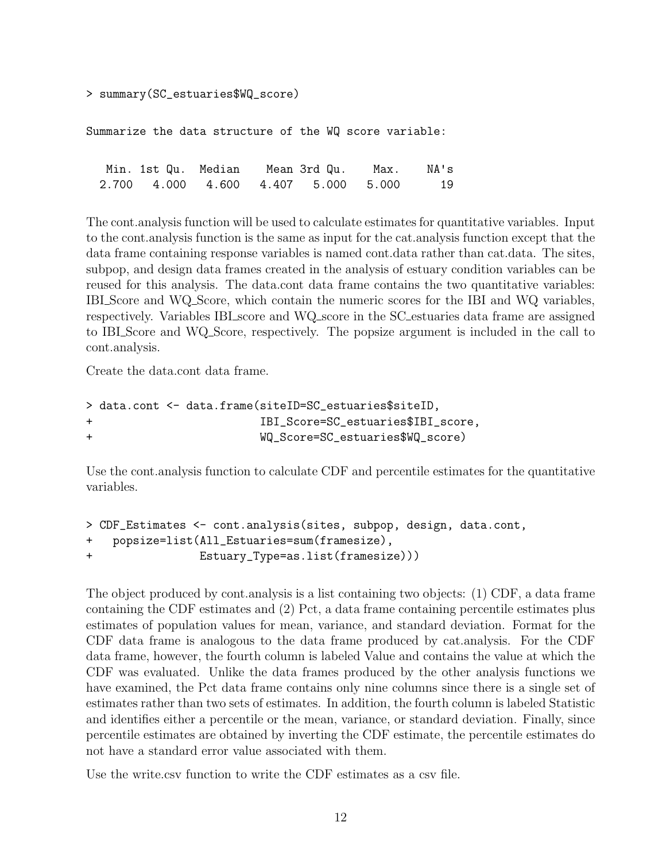```
> summary(SC_estuaries$WQ_score)
```
Summarize the data structure of the WQ score variable:

.<br>Min. 1st Qu. Median Mean 3rd Qu. Max. NA's 2.700 4.000 4.600 4.407 5.000 5.000 19

The cont.analysis function will be used to calculate estimates for quantitative variables. Input to the cont.analysis function is the same as input for the cat.analysis function except that the data frame containing response variables is named cont.data rather than cat.data. The sites, subpop, and design data frames created in the analysis of estuary condition variables can be reused for this analysis. The data.cont data frame contains the two quantitative variables: IBI Score and WQ Score, which contain the numeric scores for the IBI and WQ variables, respectively. Variables IBI score and WQ score in the SC estuaries data frame are assigned to IBI Score and WQ Score, respectively. The popsize argument is included in the call to cont.analysis.

Create the data.cont data frame.

```
> data.cont <- data.frame(siteID=SC_estuaries$siteID,
+ IBI_Score=SC_estuaries$IBI_score,
+ WQ_Score=SC_estuaries$WQ_score)
```
Use the cont.analysis function to calculate CDF and percentile estimates for the quantitative variables.

```
> CDF_Estimates <- cont.analysis(sites, subpop, design, data.cont,
+ popsize=list(All_Estuaries=sum(framesize),
+ Estuary_Type=as.list(framesize)))
```
The object produced by cont.analysis is a list containing two objects: (1) CDF, a data frame containing the CDF estimates and (2) Pct, a data frame containing percentile estimates plus estimates of population values for mean, variance, and standard deviation. Format for the CDF data frame is analogous to the data frame produced by cat.analysis. For the CDF data frame, however, the fourth column is labeled Value and contains the value at which the CDF was evaluated. Unlike the data frames produced by the other analysis functions we have examined, the Pct data frame contains only nine columns since there is a single set of estimates rather than two sets of estimates. In addition, the fourth column is labeled Statistic and identifies either a percentile or the mean, variance, or standard deviation. Finally, since percentile estimates are obtained by inverting the CDF estimate, the percentile estimates do not have a standard error value associated with them.

Use the write.csv function to write the CDF estimates as a csv file.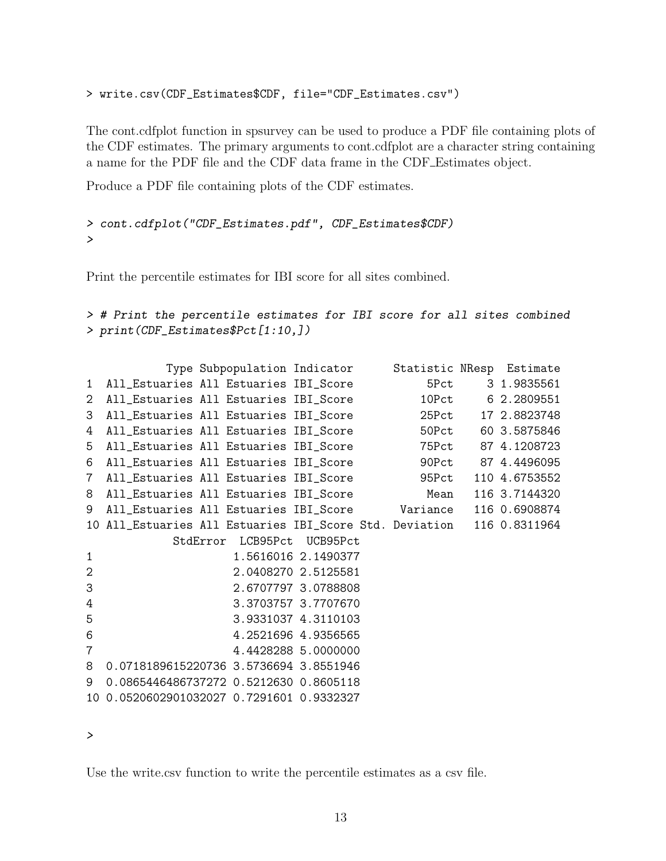```
> write.csv(CDF_Estimates$CDF, file="CDF_Estimates.csv")
```
The cont.cdfplot function in spsurvey can be used to produce a PDF file containing plots of the CDF estimates. The primary arguments to cont.cdfplot are a character string containing a name for the PDF file and the CDF data frame in the CDF Estimates object.

Produce a PDF file containing plots of the CDF estimates.

```
> cont.cdfplot("CDF_Estimates.pdf", CDF_Estimates$CDF)
>
```
Print the percentile estimates for IBI score for all sites combined.

```
> # Print the percentile estimates for IBI score for all sites combined
> print(CDF_Estimates$Pct[1:10,])
```

|                 |                                           |  | Type Subpopulation Indicator Statistic NResp Estimate                 |  |                    |
|-----------------|-------------------------------------------|--|-----------------------------------------------------------------------|--|--------------------|
| $\mathbf{1}$    | All_Estuaries All Estuaries IBI_Score     |  |                                                                       |  | 5Pct 3 1.9835561   |
| $\overline{2}$  |                                           |  | All_Estuaries All Estuaries IBI_Score                                 |  | 10Pct 6 2.2809551  |
| 3               |                                           |  | All_Estuaries All Estuaries IBI_Score                                 |  | 25Pct 17 2.8823748 |
| 4               |                                           |  | All_Estuaries All Estuaries IBI_Score 50Pct                           |  | 60 3.5875846       |
| 5               |                                           |  | All_Estuaries All Estuaries IBI_Score 75Pct 87 4.1208723              |  |                    |
| 6               |                                           |  | All_Estuaries All Estuaries IBI_Score 509Pct 87 4.4496095             |  |                    |
| $7\overline{ }$ |                                           |  | All_Estuaries All Estuaries IBI_Score 95Pct                           |  | 110 4.6753552      |
| 8               |                                           |  | All_Estuaries All Estuaries IBI_Score Mean                            |  | 116 3.7144320      |
| 9               |                                           |  | All_Estuaries All Estuaries IBI_Score Variance 116 0.6908874          |  |                    |
|                 |                                           |  | 10 All_Estuaries All Estuaries IBI_Score Std. Deviation 116 0.8311964 |  |                    |
|                 |                                           |  | StdError LCB95Pct UCB95Pct                                            |  |                    |
| $\mathbf{1}$    |                                           |  | 1.5616016 2.1490377                                                   |  |                    |
| $\overline{2}$  |                                           |  | 2.0408270 2.5125581                                                   |  |                    |
| 3               |                                           |  | 2.6707797 3.0788808                                                   |  |                    |
| 4               |                                           |  | 3.3703757 3.7707670                                                   |  |                    |
| 5               |                                           |  | 3.9331037 4.3110103                                                   |  |                    |
| 6               |                                           |  | 4.2521696 4.9356565                                                   |  |                    |
| $\overline{7}$  |                                           |  | 4.4428288 5.0000000                                                   |  |                    |
| 8               | 0.0718189615220736 3.5736694 3.8551946    |  |                                                                       |  |                    |
| 9               | 0.0865446486737272 0.5212630 0.8605118    |  |                                                                       |  |                    |
|                 | 10 0.0520602901032027 0.7291601 0.9332327 |  |                                                                       |  |                    |

*>*

Use the write.csv function to write the percentile estimates as a csv file.